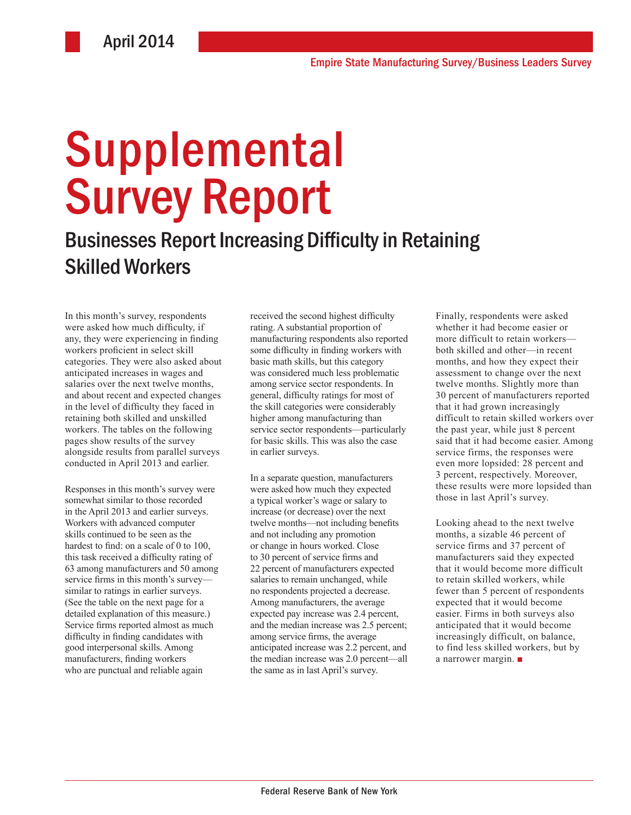# Supplemental Survey Report

# Businesses Report Increasing Difficulty in Retaining Skilled Workers

In this month's survey, respondents were asked how much difficulty, if any, they were experiencing in finding workers proficient in select skill categories. They were also asked about anticipated increases in wages and salaries over the next twelve months, and about recent and expected changes in the level of difficulty they faced in retaining both skilled and unskilled workers. The tables on the following pages show results of the survey alongside results from parallel surveys conducted in April 2013 and earlier.

Responses in this month's survey were somewhat similar to those recorded in the April 2013 and earlier surveys. Workers with advanced computer skills continued to be seen as the hardest to find: on a scale of 0 to 100. this task received a difficulty rating of 63 among manufacturers and 50 among service firms in this month's survey similar to ratings in earlier surveys. (See the table on the next page for a detailed explanation of this measure.) Service firms reported almost as much difficulty in finding candidates with good interpersonal skills. Among manufacturers, finding workers who are punctual and reliable again

received the second highest difficulty rating. A substantial proportion of manufacturing respondents also reported some difficulty in finding workers with basic math skills, but this category was considered much less problematic among service sector respondents. In general, difficulty ratings for most of the skill categories were considerably higher among manufacturing than service sector respondents—particularly for basic skills. This was also the case in earlier surveys.

In a separate question, manufacturers were asked how much they expected a typical worker's wage or salary to increase (or decrease) over the next twelve months—not including benefits and not including any promotion or change in hours worked. Close to 30 percent of service firms and 22 percent of manufacturers expected salaries to remain unchanged, while no respondents projected a decrease. Among manufacturers, the average expected pay increase was 2.4 percent, and the median increase was 2.5 percent; among service firms, the average anticipated increase was 2.2 percent, and the median increase was 2.0 percent—all the same as in last April's survey.

Finally, respondents were asked whether it had become easier or more difficult to retain workers both skilled and other—in recent months, and how they expect their assessment to change over the next twelve months. Slightly more than 30 percent of manufacturers reported that it had grown increasingly difficult to retain skilled workers over the past year, while just 8 percent said that it had become easier. Among service firms, the responses were even more lopsided: 28 percent and 3 percent, respectively. Moreover, these results were more lopsided than those in last April's survey.

Looking ahead to the next twelve months, a sizable 46 percent of service firms and 37 percent of manufacturers said they expected that it would become more difficult to retain skilled workers, while fewer than 5 percent of respondents expected that it would become easier. Firms in both surveys also anticipated that it would become increasingly difficult, on balance, to find less skilled workers, but by a narrower margin. ■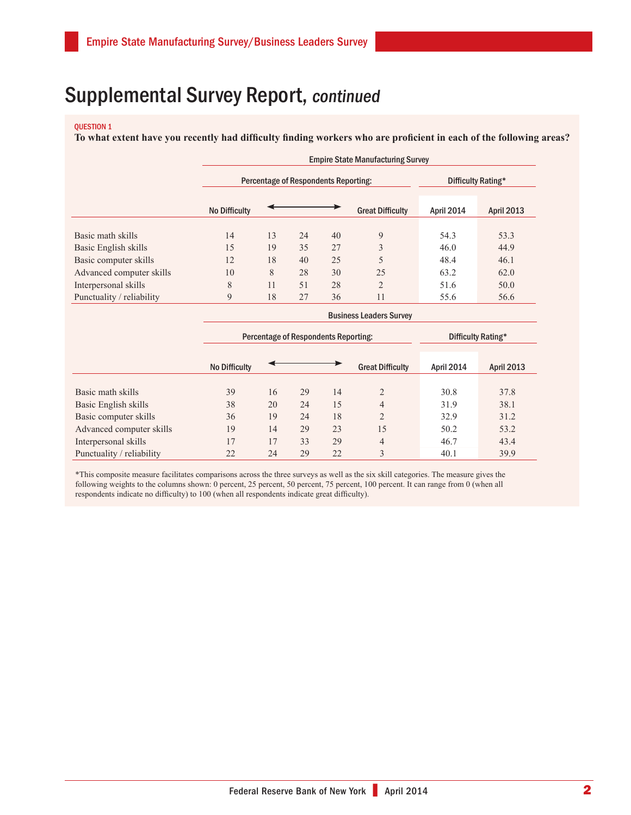#### Question 1

**To what extent have you recently had difficulty finding workers who are proficient in each of the following areas?**

|                           |                      | <b>Empire State Manufacturing Survey</b> |                    |    |                         |            |                   |  |  |  |  |  |
|---------------------------|----------------------|------------------------------------------|--------------------|----|-------------------------|------------|-------------------|--|--|--|--|--|
|                           |                      | Percentage of Respondents Reporting:     | Difficulty Rating* |    |                         |            |                   |  |  |  |  |  |
|                           | <b>No Difficulty</b> |                                          |                    |    | <b>Great Difficulty</b> | April 2014 | <b>April 2013</b> |  |  |  |  |  |
| Basic math skills         | 14                   | 13                                       | 24                 | 40 | 9                       | 54.3       | 53.3              |  |  |  |  |  |
| Basic English skills      | 15                   | 19                                       | 35                 | 27 | 3                       | 46.0       | 44.9              |  |  |  |  |  |
| Basic computer skills     | 12                   | 18                                       | 40                 | 25 |                         | 48.4       | 46.1              |  |  |  |  |  |
| Advanced computer skills  | 10                   | 8                                        | 28                 | 30 | 25                      | 63.2       | 62.0              |  |  |  |  |  |
| Interpersonal skills      | 8                    | 11                                       | 51                 | 28 | $\overline{2}$          | 51.6       | 50.0              |  |  |  |  |  |
| Punctuality / reliability | 9                    | 18                                       | 27                 | 36 | 11                      | 55.6       | 56.6              |  |  |  |  |  |
|                           |                      | <b>Business Leaders Survey</b>           |                    |    |                         |            |                   |  |  |  |  |  |

|                           |                      | Percentage of Respondents Reporting: | Difficulty Rating* |    |                         |            |                   |
|---------------------------|----------------------|--------------------------------------|--------------------|----|-------------------------|------------|-------------------|
|                           | <b>No Difficulty</b> |                                      |                    |    | <b>Great Difficulty</b> | April 2014 | <b>April 2013</b> |
|                           |                      |                                      |                    |    |                         |            |                   |
| Basic math skills         | 39                   | 16                                   | 29                 | 14 | 2                       | 30.8       | 37.8              |
| Basic English skills      | 38                   | 20                                   | 24                 | 15 | $\overline{4}$          | 31.9       | 38.1              |
| Basic computer skills     | 36                   | 19                                   | 24                 | 18 | 2                       | 32.9       | 31.2              |
| Advanced computer skills  | 19                   | 14                                   | 29                 | 23 | 15                      | 50.2       | 53.2              |
| Interpersonal skills      | 17                   | 17                                   | 33                 | 29 | $\overline{4}$          | 46.7       | 43.4              |
| Punctuality / reliability | 22                   | 24                                   | 29                 | 22 | $\mathcal{E}$           | 40.1       | 39.9              |

\*This composite measure facilitates comparisons across the three surveys as well as the six skill categories. The measure gives the following weights to the columns shown: 0 percent, 25 percent, 50 percent, 75 percent, 100 percent. It can range from 0 (when all respondents indicate no difficulty) to 100 (when all respondents indicate great difficulty).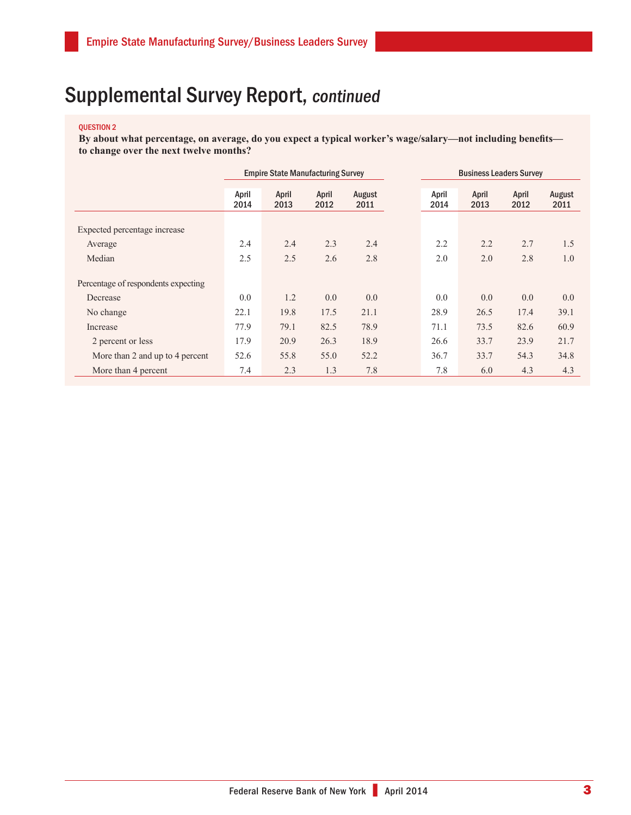#### question 2

**By about what percentage, on average, do you expect a typical worker's wage/salary—not including benefits to change over the next twelve months?**

|                                     | <b>Empire State Manufacturing Survey</b> |               |               |                |               |               | <b>Business Leaders Survey</b> |                |
|-------------------------------------|------------------------------------------|---------------|---------------|----------------|---------------|---------------|--------------------------------|----------------|
|                                     | April<br>2014                            | April<br>2013 | April<br>2012 | August<br>2011 | April<br>2014 | April<br>2013 | April<br>2012                  | August<br>2011 |
| Expected percentage increase        |                                          |               |               |                |               |               |                                |                |
| Average                             | 2.4                                      | 2.4           | 2.3           | 2.4            | 2.2           | 2.2           | 2.7                            | 1.5            |
| Median                              | 2.5                                      | 2.5           | 2.6           | 2.8            | 2.0           | 2.0           | 2.8                            | 1.0            |
| Percentage of respondents expecting |                                          |               |               |                |               |               |                                |                |
| Decrease                            | 0.0                                      | 1.2           | 0.0           | 0.0            | 0.0           | 0.0           | 0.0                            | 0.0            |
| No change                           | 22.1                                     | 19.8          | 17.5          | 21.1           | 28.9          | 26.5          | 17.4                           | 39.1           |
| Increase                            | 77.9                                     | 79.1          | 82.5          | 78.9           | 71.1          | 73.5          | 82.6                           | 60.9           |
| 2 percent or less                   | 17.9                                     | 20.9          | 26.3          | 18.9           | 26.6          | 33.7          | 23.9                           | 21.7           |
| More than 2 and up to 4 percent     | 52.6                                     | 55.8          | 55.0          | 52.2           | 36.7          | 33.7          | 54.3                           | 34.8           |
| More than 4 percent                 | 7.4                                      | 2.3           | 1.3           | 7.8            | 7.8           | 6.0           | 4.3                            | 4.3            |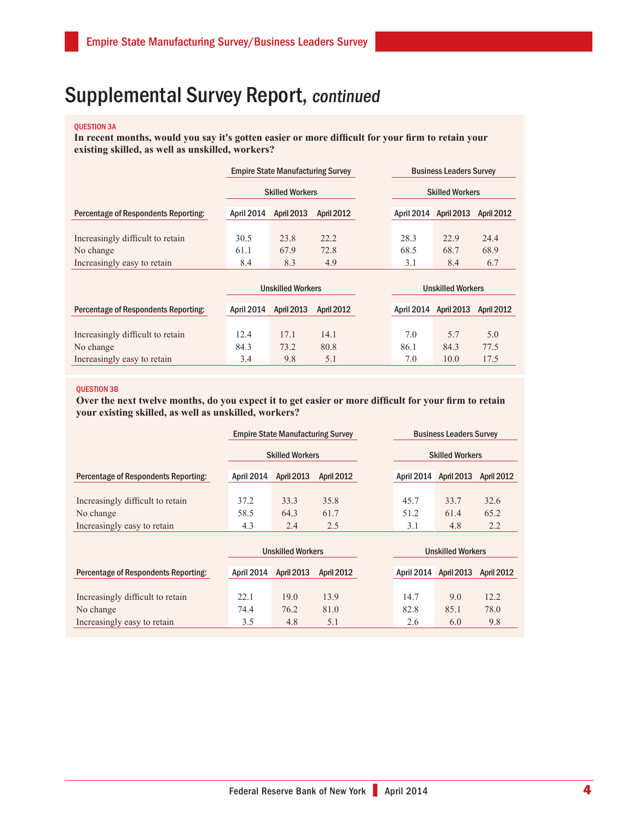#### Question 3a

**In recent months, would you say it's gotten easier or more difficult for your firm to retain your existing skilled, as well as unskilled, workers?**

|                                         |                          | <b>Empire State Manufacturing Survey</b>                                                                                                                                                                                                                                                                                                                                              |                   |  | <b>Business Leaders Survey</b> |                                                                                                                                                                                                                                                                                                                                                                                      |                   |  |
|-----------------------------------------|--------------------------|---------------------------------------------------------------------------------------------------------------------------------------------------------------------------------------------------------------------------------------------------------------------------------------------------------------------------------------------------------------------------------------|-------------------|--|--------------------------------|--------------------------------------------------------------------------------------------------------------------------------------------------------------------------------------------------------------------------------------------------------------------------------------------------------------------------------------------------------------------------------------|-------------------|--|
|                                         | <b>Skilled Workers</b>   |                                                                                                                                                                                                                                                                                                                                                                                       |                   |  | <b>Skilled Workers</b>         |                                                                                                                                                                                                                                                                                                                                                                                      |                   |  |
| Percentage of Respondents Reporting:    | April 2014               | <b>April 2013</b>                                                                                                                                                                                                                                                                                                                                                                     | <b>April 2012</b> |  | April 2014 April 2013          |                                                                                                                                                                                                                                                                                                                                                                                      | <b>April 2012</b> |  |
| Increasingly difficult to retain        | 30.5                     | 23.8                                                                                                                                                                                                                                                                                                                                                                                  | 22.2              |  | 28.3                           | 22.9                                                                                                                                                                                                                                                                                                                                                                                 | 24.4              |  |
| No change                               | 61.1                     | 67.9                                                                                                                                                                                                                                                                                                                                                                                  | 72.8              |  | 68.5                           | 68.7                                                                                                                                                                                                                                                                                                                                                                                 | 68.9              |  |
| Increasingly easy to retain             | 8.4                      | 8.3                                                                                                                                                                                                                                                                                                                                                                                   | 4.9               |  | 3.1                            | 8.4                                                                                                                                                                                                                                                                                                                                                                                  | 6.7               |  |
|                                         | <b>Unskilled Workers</b> |                                                                                                                                                                                                                                                                                                                                                                                       |                   |  |                                | <b>Unskilled Workers</b>                                                                                                                                                                                                                                                                                                                                                             |                   |  |
| Deserted and December 1990 and December |                          | $\overline{A}$ , $\overline{A}$ , $\overline{A}$ , $\overline{A}$ , $\overline{A}$ , $\overline{A}$ , $\overline{A}$ , $\overline{A}$ , $\overline{A}$ , $\overline{A}$ , $\overline{A}$ , $\overline{A}$ , $\overline{A}$ , $\overline{A}$ , $\overline{A}$ , $\overline{A}$ , $\overline{A}$ , $\overline{A}$ , $\overline{A}$ , $\overline{A}$ , $\overline{A}$ , $\overline{A}$ , |                   |  |                                | $\overline{A}$ $\overline{A}$ $\overline{A}$ $\overline{A}$ $\overline{A}$ $\overline{A}$ $\overline{A}$ $\overline{A}$ $\overline{A}$ $\overline{A}$ $\overline{A}$ $\overline{A}$ $\overline{A}$ $\overline{A}$ $\overline{A}$ $\overline{A}$ $\overline{A}$ $\overline{A}$ $\overline{A}$ $\overline{A}$ $\overline{A}$ $\overline{A}$ $\overline{A}$ $\overline{A}$ $\overline{$ |                   |  |

| Percentage of Respondents Reporting: |      | April 2014 April 2013 | <b>April 2012</b> |      | April 2014 April 2013 April 2012 |      |
|--------------------------------------|------|-----------------------|-------------------|------|----------------------------------|------|
|                                      |      |                       |                   |      |                                  |      |
| Increasingly difficult to retain     | 12.4 | 17.1                  | 14.1              | 70   | 57                               | 5.0  |
| No change                            | 84.3 | 73.2                  | 80.8              | 86.1 | 84.3                             | 77.5 |
| Increasingly easy to retain          | 34   | 98                    |                   | 70   | 10.0                             |      |

#### Question 3B

**Over the next twelve months, do you expect it to get easier or more difficult for your firm to retain your existing skilled, as well as unskilled, workers?**

|                                             | <b>Empire State Manufacturing Survey</b> |                   |                   |  | <b>Business Leaders Survey</b> |                        |                   |  |  |
|---------------------------------------------|------------------------------------------|-------------------|-------------------|--|--------------------------------|------------------------|-------------------|--|--|
|                                             | <b>Skilled Workers</b>                   |                   |                   |  |                                | <b>Skilled Workers</b> |                   |  |  |
| <b>Percentage of Respondents Reporting:</b> | April 2014                               | <b>April 2013</b> | <b>April 2012</b> |  | April 2014 April 2013          |                        | <b>April 2012</b> |  |  |
|                                             |                                          |                   |                   |  |                                |                        |                   |  |  |
| Increasingly difficult to retain            | 37.2                                     | 33.3              | 35.8              |  | 45.7                           | 33.7                   | 32.6              |  |  |
| No change                                   | 58.5                                     | 64.3              | 61.7              |  | 51.2                           | 61.4                   | 65.2              |  |  |
| Increasingly easy to retain                 | 4.3                                      | 2.4               | 2.5               |  | 3.1                            | 4.8                    | 2.2               |  |  |
|                                             |                                          |                   |                   |  |                                |                        |                   |  |  |

|                                             | <b>Unskilled Workers</b> |            |                   | <b>Unskilled Workers</b> |                       |                   |  |
|---------------------------------------------|--------------------------|------------|-------------------|--------------------------|-----------------------|-------------------|--|
| <b>Percentage of Respondents Reporting:</b> | April 2014               | April 2013 | <b>April 2012</b> |                          | April 2014 April 2013 | <b>April 2012</b> |  |
|                                             |                          |            |                   |                          |                       |                   |  |
| Increasingly difficult to retain            | 22.1                     | 19.0       | 13.9              | 14.7                     | 9.0                   | 12.2              |  |
| No change                                   | 74.4                     | 76.2       | 81.0              | 82.8                     | 85.1                  | 78.0              |  |
| Increasingly easy to retain                 | 3.5                      | 4.8        | 5.1               | 2.6                      | 6.0                   | 9.8               |  |